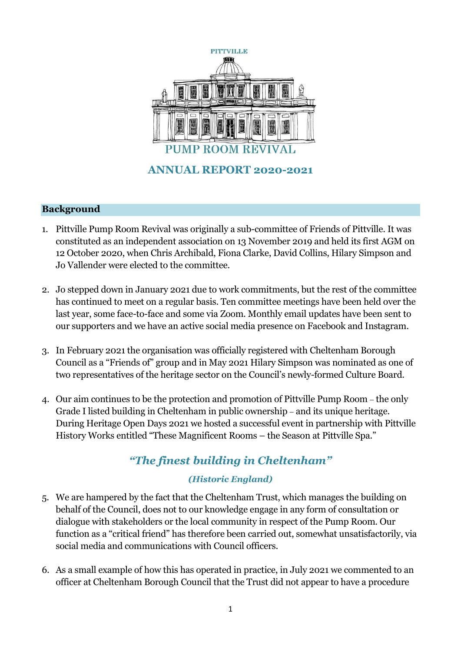

## **Background**

- 1. Pittville Pump Room Revival was originally a sub-committee of Friends of Pittville. It was constituted as an independent association on 13 November 2019 and held its first AGM on 12 October 2020, when Chris Archibald, Fiona Clarke, David Collins, Hilary Simpson and Jo Vallender were elected to the committee.
- 2. Jo stepped down in January 2021 due to work commitments, but the rest of the committee has continued to meet on a regular basis. Ten committee meetings have been held over the last year, some face-to-face and some via Zoom. Monthly email updates have been sent to our supporters and we have an active social media presence on Facebook and Instagram.
- 3. In February 2021 the organisation was officially registered with Cheltenham Borough Council as a "Friends of" group and in May 2021 Hilary Simpson was nominated as one of two representatives of the heritage sector on the Council's newly-formed Culture Board.
- 4. Our aim continues to be the protection and promotion of Pittville Pump Room the only Grade I listed building in Cheltenham in public ownership – and its unique heritage. During Heritage Open Days 2021 we hosted a successful event in partnership with Pittville History Works entitled "These Magnificent Rooms – the Season at Pittville Spa."

# *"The finest building in Cheltenham"*

# *(Historic England)*

- 5. We are hampered by the fact that the Cheltenham Trust, which manages the building on behalf of the Council, does not to our knowledge engage in any form of consultation or dialogue with stakeholders or the local community in respect of the Pump Room. Our function as a "critical friend" has therefore been carried out, somewhat unsatisfactorily, via social media and communications with Council officers.
- 6. As a small example of how this has operated in practice, in July 2021 we commented to an officer at Cheltenham Borough Council that the Trust did not appear to have a procedure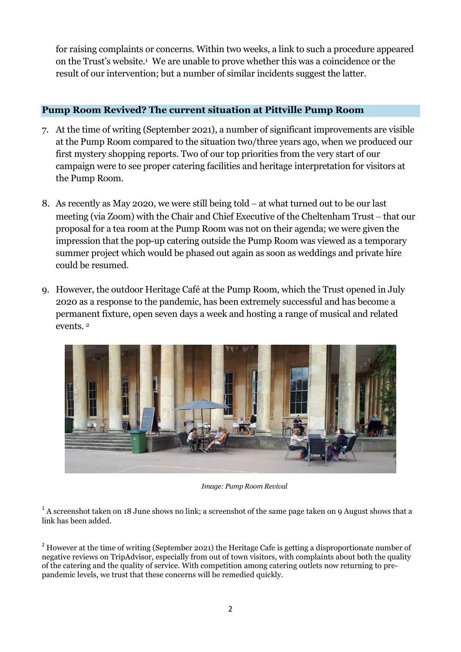for raising complaints or concerns. Within two weeks, a link to such a procedure appeared on the Trust's website.<sup>1</sup> We are unable to prove whether this was a coincidence or the result of our intervention; but a number of similar incidents suggest the latter.

#### **Pump Room Revived? The current situation at Pittville Pump Room**

- 7. At the time of writing (September 2021), a number of significant improvements are visible at the Pump Room compared to the situation two/three years ago, when we produced our first mystery shopping reports. Two of our top priorities from the very start of our campaign were to see proper catering facilities and heritage interpretation for visitors at the Pump Room.
- 8. As recently as May 2020, we were still being told  $-$  at what turned out to be our last meeting (via Zoom) with the Chair and Chief Executive of the Cheltenham Trust – that our proposal for a tea room at the Pump Room was not on their agenda; we were given the impression that the pop-up catering outside the Pump Room was viewed as a temporary summer project which would be phased out again as soon as weddings and private hire could be resumed.
- 9. However, the outdoor Heritage Café at the Pump Room, which the Trust opened in July 2020 as a response to the pandemic, has been extremely successful and has become a permanent fixture, open seven days a week and hosting a range of musical and related events. <sup>2</sup>



*Image: Pump Room Revival*

 $1$  A screenshot taken on 18 June shows no link; a screenshot of the same page taken on 9 August shows that a link has been added.

 $^{2}$  However at the time of writing (September 2021) the Heritage Cafe is getting a disproportionate number of negative reviews on TripAdvisor, especially from out of town visitors, with complaints about both the quality of the catering and the quality of service. With competition among catering outlets now returning to prepandemic levels, we trust that these concerns will be remedied quickly.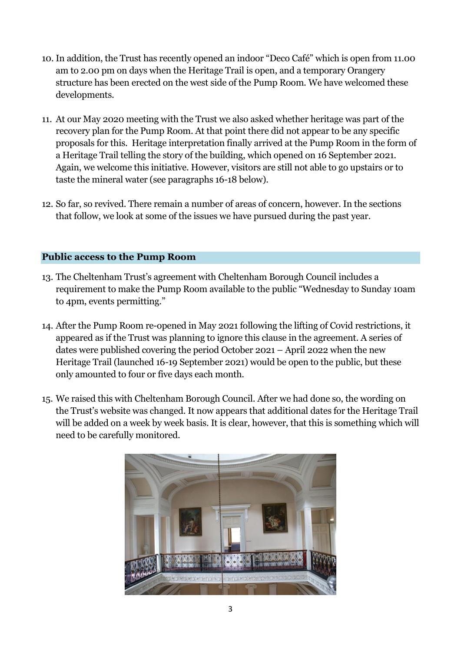- 10. In addition, the Trust has recently opened an indoor "Deco Café" which is open from 11.00 am to 2.00 pm on days when the Heritage Trail is open, and a temporary Orangery structure has been erected on the west side of the Pump Room. We have welcomed these developments.
- 11. At our May 2020 meeting with the Trust we also asked whether heritage was part of the recovery plan for the Pump Room. At that point there did not appear to be any specific proposals for this. Heritage interpretation finally arrived at the Pump Room in the form of a Heritage Trail telling the story of the building, which opened on 16 September 2021. Again, we welcome this initiative. However, visitors are still not able to go upstairs or to taste the mineral water (see paragraphs 16-18 below).
- 12. So far, so revived. There remain a number of areas of concern, however. In the sections that follow, we look at some of the issues we have pursued during the past year.

#### **Public access to the Pump Room**

- 13. The Cheltenham Trust's agreement with Cheltenham Borough Council includes a requirement to make the Pump Room available to the public "Wednesday to Sunday 10am to 4pm, events permitting."
- 14. After the Pump Room re-opened in May 2021 following the lifting of Covid restrictions, it appeared as if the Trust was planning to ignore this clause in the agreement. A series of dates were published covering the period October 2021 – April 2022 when the new Heritage Trail (launched 16-19 September 2021) would be open to the public, but these only amounted to four or five days each month.
- 15. We raised this with Cheltenham Borough Council. After we had done so, the wording on the Trust's website was changed. It now appears that additional dates for the Heritage Trail will be added on a week by week basis. It is clear, however, that this is something which will need to be carefully monitored.

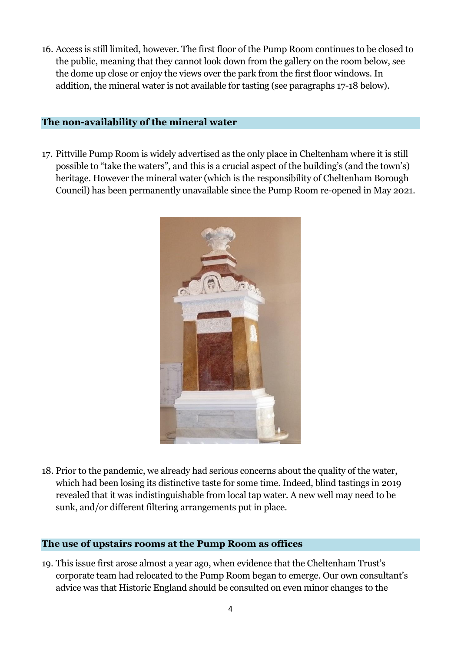16. Access is still limited, however. The first floor of the Pump Room continues to be closed to the public, meaning that they cannot look down from the gallery on the room below, see the dome up close or enjoy the views over the park from the first floor windows. In addition, the mineral water is not available for tasting (see paragraphs 17-18 below).

### **The non-availability of the mineral water**

17. Pittville Pump Room is widely advertised as the only place in Cheltenham where it is still possible to "take the waters", and this is a crucial aspect of the building's (and the town's) heritage. However the mineral water (which is the responsibility of Cheltenham Borough Council) has been permanently unavailable since the Pump Room re-opened in May 2021.



18. Prior to the pandemic, we already had serious concerns about the quality of the water, which had been losing its distinctive taste for some time. Indeed, blind tastings in 2019 revealed that it was indistinguishable from local tap water. A new well may need to be sunk, and/or different filtering arrangements put in place.

#### **The use of upstairs rooms at the Pump Room as offices**

19. This issue first arose almost a year ago, when evidence that the Cheltenham Trust's corporate team had relocated to the Pump Room began to emerge. Our own consultant's advice was that Historic England should be consulted on even minor changes to the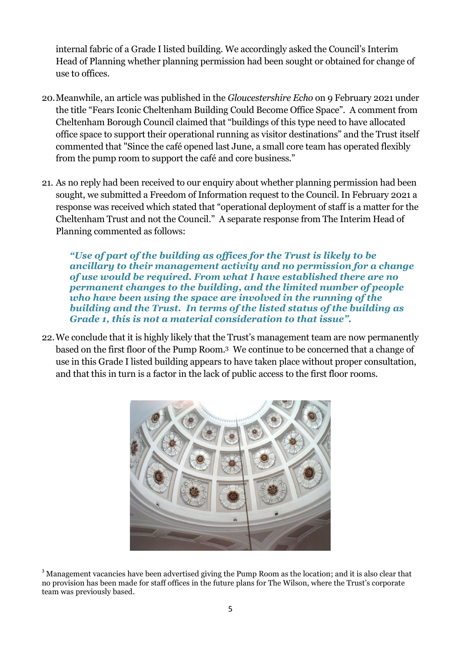internal fabric of a Grade I listed building. We accordingly asked the Council's Interim Head of Planning whether planning permission had been sought or obtained for change of use to offices.

- 20.Meanwhile, an article was published in the *Gloucestershire Echo* on 9 February 2021 under the title "Fears Iconic Cheltenham Building Could Become Office Space". A comment from Cheltenham Borough Council claimed that "buildings of this type need to have allocated office space to support their operational running as visitor destinations" and the Trust itself commented that "Since the café opened last June, a small core team has operated flexibly from the pump room to support the café and core business."
- 21. As no reply had been received to our enquiry about whether planning permission had been sought, we submitted a Freedom of Information request to the Council. In February 2021 a response was received which stated that "operational deployment of staff is a matter for the Cheltenham Trust and not the Council." A separate response from The Interim Head of Planning commented as follows:

*"Use of part of the building as offices for the Trust is likely to be ancillary to their management activity and no permission for a change of use would be required. From what I have established there are no permanent changes to the building, and the limited number of people who have been using the space are involved in the running of the building and the Trust. In terms of the listed status of the building as Grade 1, this is not a material consideration to that issue".*

22.We conclude that it is highly likely that the Trust's management team are now permanently based on the first floor of the Pump Room. <sup>3</sup> We continue to be concerned that a change of use in this Grade I listed building appears to have taken place without proper consultation, and that this in turn is a factor in the lack of public access to the first floor rooms.



<sup>&</sup>lt;sup>3</sup> Management vacancies have been advertised giving the Pump Room as the location; and it is also clear that no provision has been made for staff offices in the future plans for The Wilson, where the Trust's corporate team was previously based.